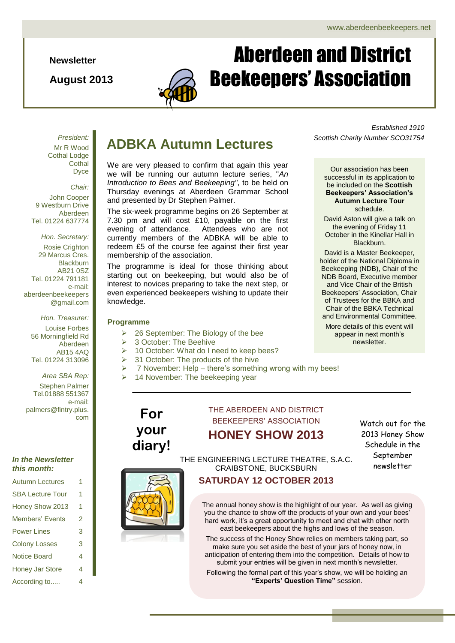**Newsletter**

**August 2013**



# Aberdeen and District Beekeepers' Association

*President:* Mr R Wood Cothal Lodge **Cothal** Dyce

*Chair:* John Cooper 9 Westburn Drive Aberdeen Tel. 01224 637774

*Hon. Secretary:* Rosie Crighton 29 Marcus Cres. **Blackburn** AB21 0SZ Tel. 01224 791181 e-mail: aberdeenbeekeepers @gmail.com

*Hon. Treasurer:*

Louise Forbes 56 Morningfield Rd Aberdeen AB15 4AQ Tel. 01224 313096

### *Area SBA Rep:*

Stephen Palmer Tel.01888 551367 e-mail: palmers@fintry.plus. com

## *In the Newsletter this month:*

| <b>Autumn Lectures</b>  | 1 |
|-------------------------|---|
| <b>SBA Lecture Tour</b> | 1 |
| Honey Show 2013         | 1 |
| Members' Events         | 2 |
| <b>Power Lines</b>      | 3 |
| <b>Colony Losses</b>    | 3 |
| <b>Notice Board</b>     | 4 |
| <b>Honey Jar Store</b>  | 4 |
| According to            | 4 |

## **ADBKA Autumn Lectures**

We are very pleased to confirm that again this year we will be running our autumn lecture series, "*An Introduction to Bees and Beekeeping"*, to be held on Thursday evenings at Aberdeen Grammar School and presented by Dr Stephen Palmer.

The six-week programme begins on 26 September at 7.30 pm and will cost £10, payable on the first evening of attendance. Attendees who are not currently members of the ADBKA will be able to redeem £5 of the course fee against their first year membership of the association.

The programme is ideal for those thinking about starting out on beekeeping, but would also be of interest to novices preparing to take the next step, or even experienced beekeepers wishing to update their knowledge.

## **Programme**

- 26 September: The Biology of the bee
- 3 October: The Beehive

**For** 

**your diary!**

- 10 October: What do I need to keep bees?
- 31 October: The products of the hive
- 7 November: Help there's something wrong with my bees!
- 14 November: The beekeeping year

# THE ABERDEEN AND DISTRICT BEEKEEPERS' ASSOCIATION

**HONEY SHOW 2013**

Watch out for the 2013 Honey Show Schedule in the September newsletter

THE ENGINEERING LECTURE THEATRE, S.A.C. CRAIBSTONE, BUCKSBURN

**SATURDAY 12 OCTOBER 2013**

The annual honey show is the highlight of our year. As well as giving you the chance to show off the products of your own and your bees' hard work, it's a great opportunity to meet and chat with other north east beekeepers about the highs and lows of the season.

The success of the Honey Show relies on members taking part, so make sure you set aside the best of your jars of honey now, in anticipation of entering them into the competition. Details of how to submit your entries will be given in next month's newsletter.

Following the formal part of this year's show, we will be holding an **"Experts' Question Time"** session.

*Established 1910 Scottish Charity Number SCO31754*

Our association has been successful in its application to be included on the **Scottish Beekeepers' Association's Autumn Lecture Tour** schedule.

David Aston will give a talk on the evening of Friday 11 October in the Kinellar Hall in **Blackburn** 

David is a Master Beekeeper, holder of the National Diploma in Beekeeping (NDB), Chair of the NDB Board, Executive member and Vice Chair of the British Beekeepers' Association, Chair of Trustees for the BBKA and Chair of the BBKA Technical and Environmental Committee.

More details of this event will appear in next month's newsletter.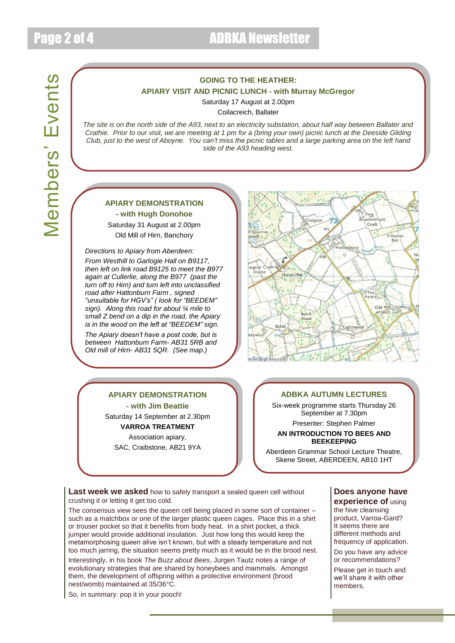# Members' Events Members' Events

## **GOING TO THE HEATHER: APIARY VISIT AND PICNIC LUNCH - with Murray McGregor**

Saturday 17 August at 2.00pm

Coilacreich, Ballater

*The site is on the north side of the A93, next to an electricity substation, about half way between Ballater and Crathie. Prior to our visit, we are meeting at 1 pm for a (bring your own) picnic lunch at the Deeside Gliding Club, just to the west of Aboyne. You can't miss the picnic tables and a large parking area on the left hand side of the A93 heading west.*

## **APIARY DEMONSTRATION**

**- with Hugh Donohoe** Saturday 31 August at 2.00pm Old Mill of Hirn, Banchory

*Directions to Apiary from Aberdeen: From Westhill to Garlogie Hall on B9117, then left on link road B9125 to meet the B977 again at Cullerlie, along the B977 (past the turn off to Hirn) and turn left into unclassified road after Hattonburn Farm , signed "unsuitable for HGV's" ( look for "BEEDEM" sign). Along this road for about ¼ mile to small Z bend on a dip in the road, the Apiary is in the wood on the left at "BEEDEM" sign.*

*The Apiary doesn't have a post code, but is between Hattonburn Farm- AB31 5RB and Old mill of Hirn- AB31 5QR. (See map.)*



## **APIARY DEMONSTRATION**

**- with Jim Beattie** Saturday 14 September at 2.30pm

**VARROA TREATMENT** Association apiary, SAC, Craibstone, AB21 9YA

## **ADBKA AUTUMN LECTURES**

Six-week programme starts Thursday 26 September at 7.30pm Presenter: Stephen Palmer

## **AN INTRODUCTION TO BEES AND BEEKEEPING**

Aberdeen Grammar School Lecture Theatre, Skene Street, ABERDEEN, AB10 1HT

Last week we asked how to safely transport a sealed queen cell without crushing it or letting it get too cold.

The consensus view sees the queen cell being placed in some sort of container – such as a matchbox or one of the larger plastic queen cages. Place this in a shirt or trouser pocket so that it benefits from body heat. In a shirt pocket, a thick jumper would provide additional insulation. Just how long this would keep the metamorphosing queen alive isn't known, but with a steady temperature and not too much jarring, the situation seems pretty much as it would be in the brood nest.

Interestingly, in his book *The Buzz about Bees*, Jurgen Tautz notes a range of evolutionary strategies that are shared by honeybees and mammals. Amongst them, the development of offspring within a protective environment (brood nest/womb) maintained at 35/36°C.

So, in summary: pop it in your pooch!

## **Does anyone have experience of** using

the hive cleansing product, Varroa-Gard? It seems there are different methods and frequency of application.

Do you have any advice or recommendations?

Please get in touch and we'll share it with other members.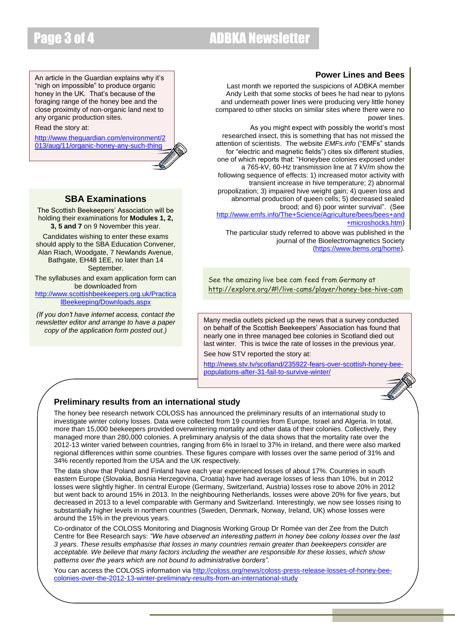# Page 3 of 4 ADBKA Newsletter

An article in the Guardian explains why it's "nigh on impossible" to produce organic honey in the UK. That's because of the foraging range of the honey bee and the close proximity of non-organic land next to any organic production sites.

Read the story at:

[http://www.theguardian.com/environment/2](http://www.theguardian.com/environment/2013/aug/11/organic-honey-any-such-thing) [013/aug/11/organic-honey-any-such-thing](http://www.theguardian.com/environment/2013/aug/11/organic-honey-any-such-thing)

## **SBA Examinations**

The Scottish Beekeepers' Association will be holding their examinations for **Modules 1, 2, 3, 5 and 7** on 9 November this year.

Candidates wishing to enter these exams should apply to the SBA Education Convener, Alan Riach, Woodgate, 7 Newlands Avenue, Bathgate, EH48 1EE, no later than 14 September.

The syllabuses and exam application form can be downloaded from [http://www.scottishbeekeepers.org.uk/Practica](http://www.scottishbeekeepers.org.uk/PracticalBeekeeping/Downloads.aspx) [lBeekeeping/Downloads.aspx](http://www.scottishbeekeepers.org.uk/PracticalBeekeeping/Downloads.aspx)

*(If you don't have internet access, contact the newsletter editor and arrange to have a paper copy of the application form posted out.)*

## **Power Lines and Bees**

Last month we reported the suspicions of ADBKA member Andy Leith that some stocks of bees he had near to pylons and underneath power lines were producing very little honey compared to other stocks on similar sites where there were no power lines.

As you might expect with possibly the world's most researched insect, this is something that has not missed the attention of scientists. The website *EMFs.info* ("EMFs" stands for "electric and magnetic fields") cites six different studies, one of which reports that: "Honeybee colonies exposed under a 765-kV, 60-Hz transmission line at 7 kV/m show the following sequence of effects: 1) increased motor activity with transient increase in hive temperature; 2) abnormal propolization; 3) impaired hive weight gain; 4) queen loss and abnormal production of queen cells; 5) decreased sealed brood; and 6) poor winter survival". (See

[http://www.emfs.info/The+Science/Agriculture/bees/bees+and](http://www.emfs.info/The+Science/Agriculture/bees/bees+and+microshocks.htm) [+microshocks.htm\)](http://www.emfs.info/The+Science/Agriculture/bees/bees+and+microshocks.htm)

The particular study referred to above was published in the journal of the Bioelectromagnetics Society [\(https://www.bems.org/home\)](https://www.bems.org/home).

See the amazing live bee cam feed from Germany at <http://explore.org/#!/live-cams/player/honey-bee-hive-cam>

Many media outlets picked up the news that a survey conducted on behalf of the Scottish Beekeepers' Association has found that nearly one in three managed bee colonies in Scotland died out last winter. This is twice the rate of losses in the previous year.

See how STV reported the story at:

[http://news.stv.tv/scotland/235922-fears-over-scottish-honey-bee](http://news.stv.tv/scotland/235922-fears-over-scottish-honey-bee-populations-after-31-fail-to-survive-winter/)[populations-after-31-fail-to-survive-winter/](http://news.stv.tv/scotland/235922-fears-over-scottish-honey-bee-populations-after-31-fail-to-survive-winter/)



## **Preliminary results from an international study**

The honey bee research network COLOSS has announced the preliminary results of an international study to investigate winter colony losses. Data were collected from 19 countries from Europe, Israel and Algeria. In total, more than 15,000 beekeepers provided overwintering mortality and other data of their colonies. Collectively, they managed more than 280,000 colonies. A preliminary analysis of the data shows that the mortality rate over the 2012-13 winter varied between countries, ranging from 6% in Israel to 37% in Ireland, and there were also marked regional differences within some countries. These figures compare with losses over the same period of 31% and 34% recently reported from the USA and the UK respectively.

The data show that Poland and Finland have each year experienced losses of about 17%. Countries in south eastern Europe (Slovakia, Bosnia Herzegovina, Croatia) have had average losses of less than 10%, but in 2012 losses were slightly higher. In central Europe (Germany, Switzerland, Austria) losses rose to above 20% in 2012 but went back to around 15% in 2013. In the neighbouring Netherlands, losses were above 20% for five years, but decreased in 2013 to a level comparable with Germany and Switzerland. Interestingly, we now see losses rising to substantially higher levels in northern countries (Sweden, Denmark, Norway, Ireland, UK) whose losses were around the 15% in the previous years.

Co-ordinator of the COLOSS Monitoring and Diagnosis Working Group Dr Romée van der Zee from the Dutch Centre for Bee Research says: *"We have observed an interesting pattern in honey bee colony losses over the last 3 years. These results emphasise that losses in many countries remain greater than beekeepers consider are acceptable. We believe that many factors including the weather are responsible for these losses, which show patterns over the years which are not bound to administrative borders".*

You can access the COLOSS information vi[a http://coloss.org/news/coloss-press-release-losses-of-honey-bee](http://coloss.org/news/coloss-press-release-losses-of-honey-bee-colonies-over-the-2012-13-winter-preliminary-results-from-an-international-study)[colonies-over-the-2012-13-winter-preliminary-results-from-an-international-study](http://coloss.org/news/coloss-press-release-losses-of-honey-bee-colonies-over-the-2012-13-winter-preliminary-results-from-an-international-study)